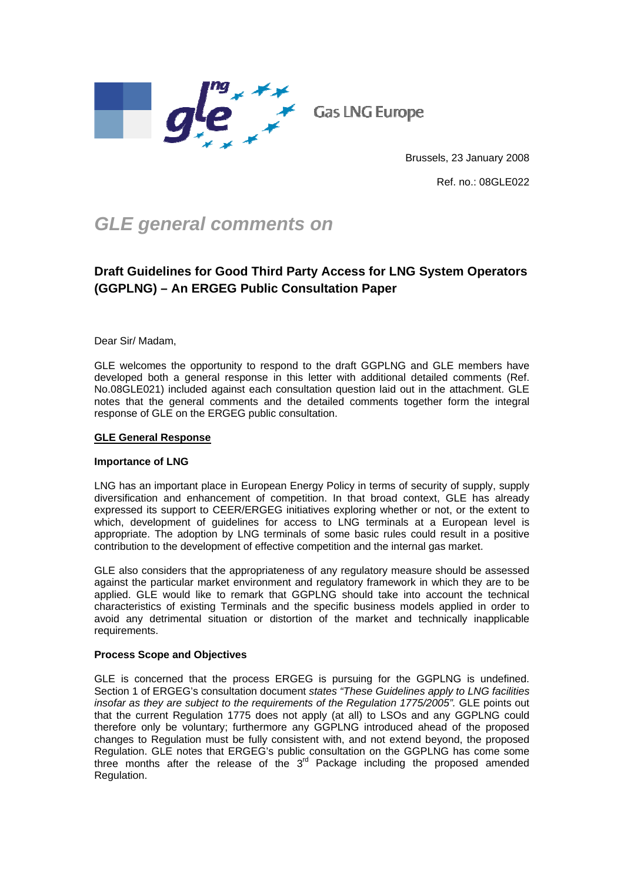

**Gas LNG Europe** 

Brussels, 23 January 2008

Ref. no.: 08GLE022

# *GLE general comments on*

# **Draft Guidelines for Good Third Party Access for LNG System Operators (GGPLNG) – An ERGEG Public Consultation Paper**

Dear Sir/ Madam,

GLE welcomes the opportunity to respond to the draft GGPLNG and GLE members have developed both a general response in this letter with additional detailed comments (Ref. No.08GLE021) included against each consultation question laid out in the attachment. GLE notes that the general comments and the detailed comments together form the integral response of GLE on the ERGEG public consultation.

## **GLE General Response**

#### **Importance of LNG**

LNG has an important place in European Energy Policy in terms of security of supply, supply diversification and enhancement of competition. In that broad context, GLE has already expressed its support to CEER/ERGEG initiatives exploring whether or not, or the extent to which, development of guidelines for access to LNG terminals at a European level is appropriate. The adoption by LNG terminals of some basic rules could result in a positive contribution to the development of effective competition and the internal gas market.

GLE also considers that the appropriateness of any regulatory measure should be assessed against the particular market environment and regulatory framework in which they are to be applied. GLE would like to remark that GGPLNG should take into account the technical characteristics of existing Terminals and the specific business models applied in order to avoid any detrimental situation or distortion of the market and technically inapplicable requirements.

#### **Process Scope and Objectives**

GLE is concerned that the process ERGEG is pursuing for the GGPLNG is undefined. Section 1 of ERGEG's consultation document *states "These Guidelines apply to LNG facilities*  insofar as they are subject to the requirements of the Requlation 1775/2005". GLE points out that the current Regulation 1775 does not apply (at all) to LSOs and any GGPLNG could therefore only be voluntary; furthermore any GGPLNG introduced ahead of the proposed changes to Regulation must be fully consistent with, and not extend beyond, the proposed Regulation. GLE notes that ERGEG's public consultation on the GGPLNG has come some three months after the release of the 3<sup>rd</sup> Package including the proposed amended Regulation.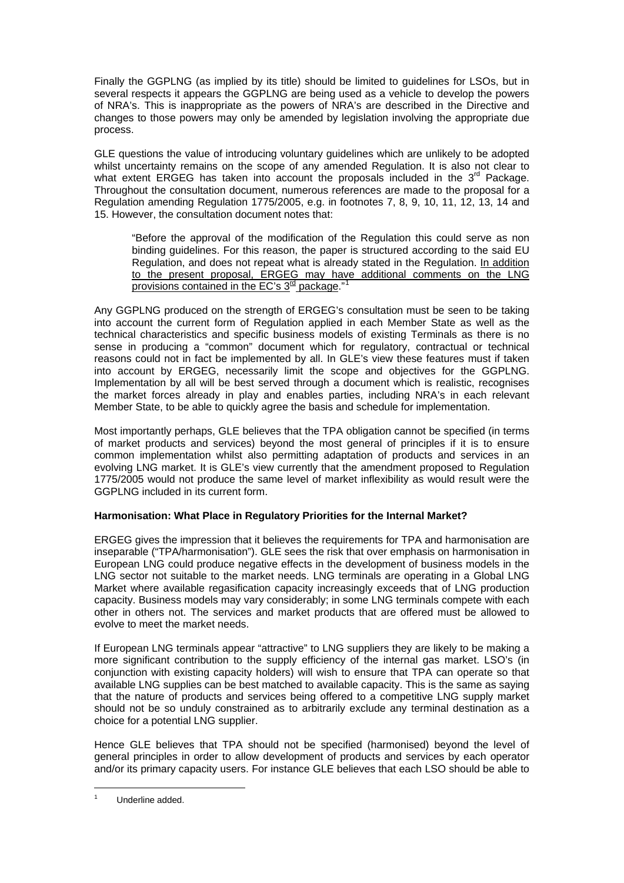Finally the GGPLNG (as implied by its title) should be limited to guidelines for LSOs, but in several respects it appears the GGPLNG are being used as a vehicle to develop the powers of NRA's. This is inappropriate as the powers of NRA's are described in the Directive and changes to those powers may only be amended by legislation involving the appropriate due process.

GLE questions the value of introducing voluntary guidelines which are unlikely to be adopted whilst uncertainty remains on the scope of any amended Regulation. It is also not clear to what extent ERGEG has taken into account the proposals included in the  $3<sup>rd</sup>$  Package. Throughout the consultation document, numerous references are made to the proposal for a Regulation amending Regulation 1775/2005, e.g. in footnotes 7, 8, 9, 10, 11, 12, 13, 14 and 15. However, the consultation document notes that:

"Before the approval of the modification of the Regulation this could serve as non binding guidelines. For this reason, the paper is structured according to the said EU Regulation, and does not repeat what is already stated in the Regulation. In addition to the present proposal, ERGEG may have additional comments on the LNG provisions contained in the EC's  $3<sup>rd</sup>$  package."

Any GGPLNG produced on the strength of ERGEG's consultation must be seen to be taking into account the current form of Regulation applied in each Member State as well as the technical characteristics and specific business models of existing Terminals as there is no sense in producing a "common" document which for regulatory, contractual or technical reasons could not in fact be implemented by all. In GLE's view these features must if taken into account by ERGEG, necessarily limit the scope and objectives for the GGPLNG. Implementation by all will be best served through a document which is realistic, recognises the market forces already in play and enables parties, including NRA's in each relevant Member State, to be able to quickly agree the basis and schedule for implementation.

Most importantly perhaps, GLE believes that the TPA obligation cannot be specified (in terms of market products and services) beyond the most general of principles if it is to ensure common implementation whilst also permitting adaptation of products and services in an evolving LNG market. It is GLE's view currently that the amendment proposed to Regulation 1775/2005 would not produce the same level of market inflexibility as would result were the GGPLNG included in its current form.

# **Harmonisation: What Place in Regulatory Priorities for the Internal Market?**

ERGEG gives the impression that it believes the requirements for TPA and harmonisation are inseparable ("TPA/harmonisation"). GLE sees the risk that over emphasis on harmonisation in European LNG could produce negative effects in the development of business models in the LNG sector not suitable to the market needs. LNG terminals are operating in a Global LNG Market where available regasification capacity increasingly exceeds that of LNG production capacity. Business models may vary considerably; in some LNG terminals compete with each other in others not. The services and market products that are offered must be allowed to evolve to meet the market needs.

If European LNG terminals appear "attractive" to LNG suppliers they are likely to be making a more significant contribution to the supply efficiency of the internal gas market. LSO's (in conjunction with existing capacity holders) will wish to ensure that TPA can operate so that available LNG supplies can be best matched to available capacity. This is the same as saying that the nature of products and services being offered to a competitive LNG supply market should not be so unduly constrained as to arbitrarily exclude any terminal destination as a choice for a potential LNG supplier.

Hence GLE believes that TPA should not be specified (harmonised) beyond the level of general principles in order to allow development of products and services by each operator and/or its primary capacity users. For instance GLE believes that each LSO should be able to

-

<span id="page-1-0"></span><sup>1</sup> Underline added.